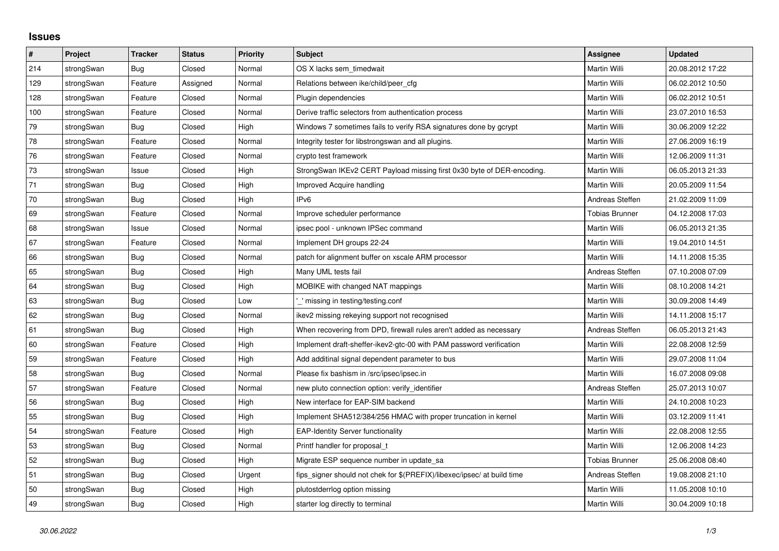## **Issues**

| $\pmb{\#}$ | Project    | <b>Tracker</b> | <b>Status</b> | <b>Priority</b> | <b>Subject</b>                                                          | <b>Assignee</b>       | <b>Updated</b>   |
|------------|------------|----------------|---------------|-----------------|-------------------------------------------------------------------------|-----------------------|------------------|
| 214        | strongSwan | Bug            | Closed        | Normal          | OS X lacks sem timedwait                                                | Martin Willi          | 20.08.2012 17:22 |
| 129        | strongSwan | Feature        | Assigned      | Normal          | Relations between ike/child/peer cfg                                    | Martin Willi          | 06.02.2012 10:50 |
| 128        | strongSwan | Feature        | Closed        | Normal          | Plugin dependencies                                                     | Martin Willi          | 06.02.2012 10:51 |
| 100        | strongSwan | Feature        | Closed        | Normal          | Derive traffic selectors from authentication process                    | Martin Willi          | 23.07.2010 16:53 |
| 79         | strongSwan | Bug            | Closed        | High            | Windows 7 sometimes fails to verify RSA signatures done by gcrypt       | Martin Willi          | 30.06.2009 12:22 |
| ${\bf 78}$ | strongSwan | Feature        | Closed        | Normal          | Integrity tester for libstrongswan and all plugins.                     | Martin Willi          | 27.06.2009 16:19 |
| 76         | strongSwan | Feature        | Closed        | Normal          | crypto test framework                                                   | Martin Willi          | 12.06.2009 11:31 |
| $73\,$     | strongSwan | Issue          | Closed        | High            | StrongSwan IKEv2 CERT Payload missing first 0x30 byte of DER-encoding.  | Martin Willi          | 06.05.2013 21:33 |
| 71         | strongSwan | Bug            | Closed        | High            | Improved Acquire handling                                               | Martin Willi          | 20.05.2009 11:54 |
| $70\,$     | strongSwan | Bug            | Closed        | High            | IP <sub>v6</sub>                                                        | Andreas Steffen       | 21.02.2009 11:09 |
| 69         | strongSwan | Feature        | Closed        | Normal          | Improve scheduler performance                                           | <b>Tobias Brunner</b> | 04.12.2008 17:03 |
| 68         | strongSwan | Issue          | Closed        | Normal          | ipsec pool - unknown IPSec command                                      | Martin Willi          | 06.05.2013 21:35 |
| 67         | strongSwan | Feature        | Closed        | Normal          | Implement DH groups 22-24                                               | Martin Willi          | 19.04.2010 14:51 |
| 66         | strongSwan | Bug            | Closed        | Normal          | patch for alignment buffer on xscale ARM processor                      | Martin Willi          | 14.11.2008 15:35 |
| 65         | strongSwan | Bug            | Closed        | High            | Many UML tests fail                                                     | Andreas Steffen       | 07.10.2008 07:09 |
| 64         | strongSwan | <b>Bug</b>     | Closed        | High            | MOBIKE with changed NAT mappings                                        | Martin Willi          | 08.10.2008 14:21 |
| 63         | strongSwan | Bug            | Closed        | Low             | ' missing in testing/testing.conf                                       | Martin Willi          | 30.09.2008 14:49 |
| 62         | strongSwan | Bug            | Closed        | Normal          | ikev2 missing rekeying support not recognised                           | Martin Willi          | 14.11.2008 15:17 |
| 61         | strongSwan | Bug            | Closed        | High            | When recovering from DPD, firewall rules aren't added as necessary      | Andreas Steffen       | 06.05.2013 21:43 |
| 60         | strongSwan | Feature        | Closed        | High            | Implement draft-sheffer-ikev2-gtc-00 with PAM password verification     | Martin Willi          | 22.08.2008 12:59 |
| 59         | strongSwan | Feature        | Closed        | High            | Add additinal signal dependent parameter to bus                         | Martin Willi          | 29.07.2008 11:04 |
| 58         | strongSwan | Bug            | Closed        | Normal          | Please fix bashism in /src/ipsec/ipsec.in                               | Martin Willi          | 16.07.2008 09:08 |
| 57         | strongSwan | Feature        | Closed        | Normal          | new pluto connection option: verify identifier                          | Andreas Steffen       | 25.07.2013 10:07 |
| 56         | strongSwan | Bug            | Closed        | High            | New interface for EAP-SIM backend                                       | Martin Willi          | 24.10.2008 10:23 |
| 55         | strongSwan | Bug            | Closed        | High            | Implement SHA512/384/256 HMAC with proper truncation in kernel          | Martin Willi          | 03.12.2009 11:41 |
| 54         | strongSwan | Feature        | Closed        | High            | <b>EAP-Identity Server functionality</b>                                | Martin Willi          | 22.08.2008 12:55 |
| 53         | strongSwan | Bug            | Closed        | Normal          | Printf handler for proposal t                                           | Martin Willi          | 12.06.2008 14:23 |
| 52         | strongSwan | Bug            | Closed        | High            | Migrate ESP sequence number in update sa                                | <b>Tobias Brunner</b> | 25.06.2008 08:40 |
| 51         | strongSwan | Bug            | Closed        | Urgent          | fips_signer should not chek for \$(PREFIX)/libexec/ipsec/ at build time | Andreas Steffen       | 19.08.2008 21:10 |
| 50         | strongSwan | Bug            | Closed        | High            | plutostderrlog option missing                                           | Martin Willi          | 11.05.2008 10:10 |
| 49         | strongSwan | <b>Bug</b>     | Closed        | High            | starter log directly to terminal                                        | Martin Willi          | 30.04.2009 10:18 |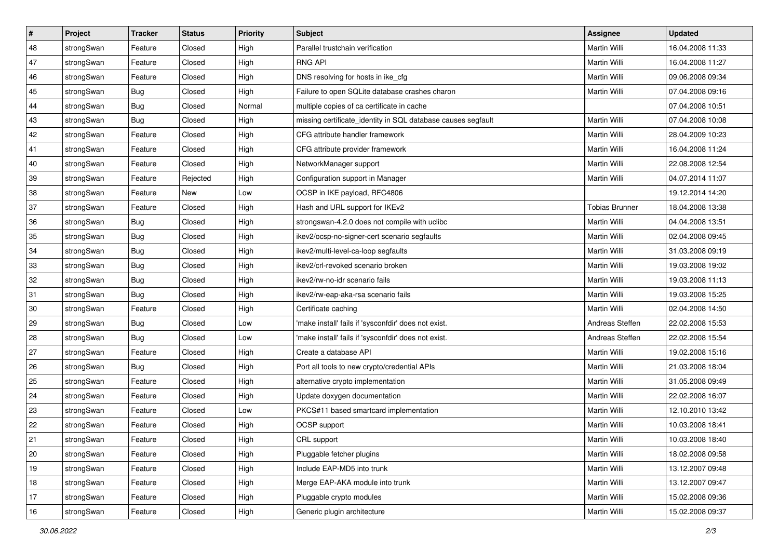| $\vert$ # | Project    | <b>Tracker</b> | <b>Status</b> | Priority | Subject                                                      | Assignee              | <b>Updated</b>   |
|-----------|------------|----------------|---------------|----------|--------------------------------------------------------------|-----------------------|------------------|
| 48        | strongSwan | Feature        | Closed        | High     | Parallel trustchain verification                             | Martin Willi          | 16.04.2008 11:33 |
| 47        | strongSwan | Feature        | Closed        | High     | <b>RNG API</b>                                               | <b>Martin Willi</b>   | 16.04.2008 11:27 |
| 46        | strongSwan | Feature        | Closed        | High     | DNS resolving for hosts in ike cfg                           | Martin Willi          | 09.06.2008 09:34 |
| 45        | strongSwan | Bug            | Closed        | High     | Failure to open SQLite database crashes charon               | <b>Martin Willi</b>   | 07.04.2008 09:16 |
| 44        | strongSwan | Bug            | Closed        | Normal   | multiple copies of ca certificate in cache                   |                       | 07.04.2008 10:51 |
| 43        | strongSwan | <b>Bug</b>     | Closed        | High     | missing certificate_identity in SQL database causes segfault | Martin Willi          | 07.04.2008 10:08 |
| 42        | strongSwan | Feature        | Closed        | High     | CFG attribute handler framework                              | <b>Martin Willi</b>   | 28.04.2009 10:23 |
| 41        | strongSwan | Feature        | Closed        | High     | CFG attribute provider framework                             | Martin Willi          | 16.04.2008 11:24 |
| 40        | strongSwan | Feature        | Closed        | High     | NetworkManager support                                       | Martin Willi          | 22.08.2008 12:54 |
| 39        | strongSwan | Feature        | Rejected      | High     | Configuration support in Manager                             | <b>Martin Willi</b>   | 04.07.2014 11:07 |
| 38        | strongSwan | Feature        | New           | Low      | OCSP in IKE payload, RFC4806                                 |                       | 19.12.2014 14:20 |
| 37        | strongSwan | Feature        | Closed        | High     | Hash and URL support for IKEv2                               | <b>Tobias Brunner</b> | 18.04.2008 13:38 |
| 36        | strongSwan | Bug            | Closed        | High     | strongswan-4.2.0 does not compile with uclibc                | Martin Willi          | 04.04.2008 13:51 |
| 35        | strongSwan | Bug            | Closed        | High     | ikev2/ocsp-no-signer-cert scenario segfaults                 | Martin Willi          | 02.04.2008 09:45 |
| 34        | strongSwan | Bug            | Closed        | High     | ikev2/multi-level-ca-loop segfaults                          | Martin Willi          | 31.03.2008 09:19 |
| 33        | strongSwan | <b>Bug</b>     | Closed        | High     | ikev2/crl-revoked scenario broken                            | Martin Willi          | 19.03.2008 19:02 |
| 32        | strongSwan | Bug            | Closed        | High     | ikev2/rw-no-idr scenario fails                               | Martin Willi          | 19.03.2008 11:13 |
| 31        | strongSwan | Bug            | Closed        | High     | ikev2/rw-eap-aka-rsa scenario fails                          | Martin Willi          | 19.03.2008 15:25 |
| 30        | strongSwan | Feature        | Closed        | High     | Certificate caching                                          | Martin Willi          | 02.04.2008 14:50 |
| 29        | strongSwan | <b>Bug</b>     | Closed        | Low      | 'make install' fails if 'sysconfdir' does not exist.         | Andreas Steffen       | 22.02.2008 15:53 |
| 28        | strongSwan | Bug            | Closed        | Low      | 'make install' fails if 'sysconfdir' does not exist.         | Andreas Steffen       | 22.02.2008 15:54 |
| 27        | strongSwan | Feature        | Closed        | High     | Create a database API                                        | Martin Willi          | 19.02.2008 15:16 |
| 26        | strongSwan | Bug            | Closed        | High     | Port all tools to new crypto/credential APIs                 | Martin Willi          | 21.03.2008 18:04 |
| 25        | strongSwan | Feature        | Closed        | High     | alternative crypto implementation                            | Martin Willi          | 31.05.2008 09:49 |
| 24        | strongSwan | Feature        | Closed        | High     | Update doxygen documentation                                 | Martin Willi          | 22.02.2008 16:07 |
| 23        | strongSwan | Feature        | Closed        | Low      | PKCS#11 based smartcard implementation                       | <b>Martin Willi</b>   | 12.10.2010 13:42 |
| 22        | strongSwan | Feature        | Closed        | High     | OCSP support                                                 | Martin Willi          | 10.03.2008 18:41 |
| 21        | strongSwan | Feature        | Closed        | High     | CRL support                                                  | Martin Willi          | 10.03.2008 18:40 |
| 20        | strongSwan | Feature        | Closed        | High     | Pluggable fetcher plugins                                    | Martin Willi          | 18.02.2008 09:58 |
| 19        | strongSwan | Feature        | Closed        | High     | Include EAP-MD5 into trunk                                   | Martin Willi          | 13.12.2007 09:48 |
| 18        | strongSwan | Feature        | Closed        | High     | Merge EAP-AKA module into trunk                              | Martin Willi          | 13.12.2007 09:47 |
| 17        | strongSwan | Feature        | Closed        | High     | Pluggable crypto modules                                     | Martin Willi          | 15.02.2008 09:36 |
| 16        | strongSwan | Feature        | Closed        | High     | Generic plugin architecture                                  | Martin Willi          | 15.02.2008 09:37 |